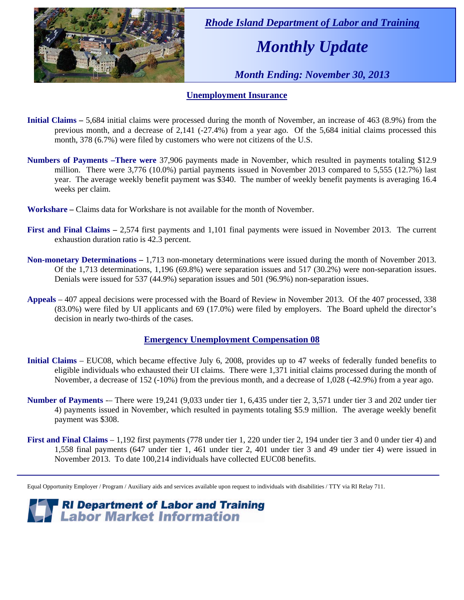

 *Rhode Island Department of Labor and Training* 

# *Monthly Update*

 *Month Ending: November 30, 2013* 

### **Unemployment Insurance**

- **Initial Claims** 5,684 initial claims were processed during the month of November, an increase of 463 (8.9%) from the previous month, and a decrease of 2,141 (-27.4%) from a year ago. Of the 5,684 initial claims processed this month, 378 (6.7%) were filed by customers who were not citizens of the U.S.
- **Numbers of Payments –There were** 37,906 payments made in November, which resulted in payments totaling \$12.9 million. There were 3,776 (10.0%) partial payments issued in November 2013 compared to 5,555 (12.7%) last year. The average weekly benefit payment was \$340. The number of weekly benefit payments is averaging 16.4 weeks per claim.
- **Workshare –** Claims data for Workshare is not available for the month of November.
- **First and Final Claims –** 2,574 first payments and 1,101 final payments were issued in November 2013. The current exhaustion duration ratio is 42.3 percent.
- **Non-monetary Determinations –** 1,713 non-monetary determinations were issued during the month of November 2013. Of the 1,713 determinations, 1,196 (69.8%) were separation issues and 517 (30.2%) were non-separation issues. Denials were issued for 537 (44.9%) separation issues and 501 (96.9%) non-separation issues.
- **Appeals** 407 appeal decisions were processed with the Board of Review in November 2013. Of the 407 processed, 338 (83.0%) were filed by UI applicants and 69 (17.0%) were filed by employers. The Board upheld the director's decision in nearly two-thirds of the cases.

### **Emergency Unemployment Compensation 08**

- **Initial Claims**  EUC08, which became effective July 6, 2008, provides up to 47 weeks of federally funded benefits to eligible individuals who exhausted their UI claims. There were 1,371 initial claims processed during the month of November, a decrease of 152 (-10%) from the previous month, and a decrease of 1,028 (-42.9%) from a year ago.
- **Number of Payments** -– There were 19,241 (9,033 under tier 1, 6,435 under tier 2, 3,571 under tier 3 and 202 under tier 4) payments issued in November, which resulted in payments totaling \$5.9 million. The average weekly benefit payment was \$308.
- **First and Final Claims**  1,192 first payments (778 under tier 1, 220 under tier 2, 194 under tier 3 and 0 under tier 4) and 1,558 final payments (647 under tier 1, 461 under tier 2, 401 under tier 3 and 49 under tier 4) were issued in November 2013. To date 100,214 individuals have collected EUC08 benefits.

Equal Opportunity Employer / Program / Auxiliary aids and services available upon request to individuals with disabilities / TTY via RI Relay 711.

*RI Department of Labor and Training*<br>*Z* **Labor Market Information**